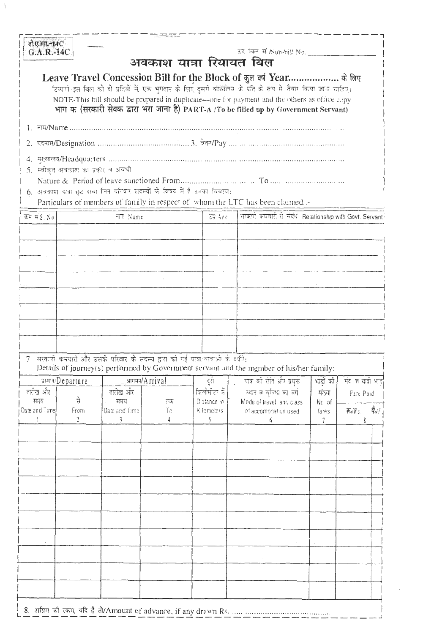| जी.ए.आर.-14C<br>G.A.R.-14C                                                                                                |                                   |                                                                                    |          |                                                          | उप विल सं /Sub-bill No. _________                                                                                                                                                                             |                |                                                                            |
|---------------------------------------------------------------------------------------------------------------------------|-----------------------------------|------------------------------------------------------------------------------------|----------|----------------------------------------------------------|---------------------------------------------------------------------------------------------------------------------------------------------------------------------------------------------------------------|----------------|----------------------------------------------------------------------------|
|                                                                                                                           |                                   |                                                                                    |          | अवकाश यात्रा रियायत बिल                                  |                                                                                                                                                                                                               |                |                                                                            |
|                                                                                                                           |                                   |                                                                                    |          |                                                          | Leave Travel Concession Bill for the Block of कुल वर्ष Year के लिए                                                                                                                                            |                |                                                                            |
|                                                                                                                           |                                   |                                                                                    |          |                                                          | टिप्पणी-इस बिल को दो प्रतियों में, एक भुगतान के लिए दूसरी कार्योतिय के पति के रूप में, तैयार किया जाना चाहिए।<br>NOTE-This bill should be prepared in duplicate-one for payment and the others as office copy |                |                                                                            |
|                                                                                                                           |                                   |                                                                                    |          |                                                          | भाग क (सरकारी सेवक द्वारा भरा जाना है) PART-A (To be filled up by Government Servant)                                                                                                                         |                |                                                                            |
|                                                                                                                           |                                   |                                                                                    |          |                                                          |                                                                                                                                                                                                               |                |                                                                            |
|                                                                                                                           |                                   |                                                                                    |          |                                                          |                                                                                                                                                                                                               |                |                                                                            |
|                                                                                                                           |                                   |                                                                                    |          |                                                          |                                                                                                                                                                                                               |                |                                                                            |
|                                                                                                                           | 5. स्वीकृत अवकाश का प्रकार व अवधी |                                                                                    |          |                                                          |                                                                                                                                                                                                               |                |                                                                            |
|                                                                                                                           |                                   |                                                                                    |          |                                                          |                                                                                                                                                                                                               |                |                                                                            |
|                                                                                                                           |                                   | 6. अवकाश यात्रा छूट दावा जिन परिवार सदस्यों के विषय में है उनका विवरण:             |          |                                                          |                                                                                                                                                                                                               |                |                                                                            |
| Particulars of members of family in respect of whom the LTC has been claimed.:-<br>क्रम सं \$. No.<br>नाम Name<br>ਰੱਖ ਮਾਰ |                                   |                                                                                    |          | सम्बले कर्मचारी से संबंध Relationship with Govt. Servant |                                                                                                                                                                                                               |                |                                                                            |
|                                                                                                                           |                                   |                                                                                    |          |                                                          |                                                                                                                                                                                                               |                |                                                                            |
|                                                                                                                           |                                   |                                                                                    |          |                                                          |                                                                                                                                                                                                               |                |                                                                            |
|                                                                                                                           |                                   |                                                                                    |          |                                                          |                                                                                                                                                                                                               |                |                                                                            |
|                                                                                                                           |                                   |                                                                                    |          |                                                          |                                                                                                                                                                                                               |                |                                                                            |
|                                                                                                                           |                                   |                                                                                    |          |                                                          |                                                                                                                                                                                                               |                |                                                                            |
|                                                                                                                           |                                   |                                                                                    |          |                                                          |                                                                                                                                                                                                               |                |                                                                            |
|                                                                                                                           |                                   |                                                                                    |          |                                                          |                                                                                                                                                                                                               |                |                                                                            |
|                                                                                                                           |                                   |                                                                                    |          |                                                          |                                                                                                                                                                                                               |                |                                                                            |
|                                                                                                                           |                                   |                                                                                    |          |                                                          |                                                                                                                                                                                                               |                |                                                                            |
|                                                                                                                           |                                   | 7. सरकारी कर्मचारी और उसके परिवार के सदस्य द्वारा की गई यात्रा यात्राओं के व्योगे: |          |                                                          | Details of journey(s) performed by Government servant and the member of his/her family:                                                                                                                       |                |                                                                            |
|                                                                                                                           | प्रस्थान/Departure                | आगमन/Arrival                                                                       |          | दुरा                                                     | यात्रा को सेरि और प्रयुक्त                                                                                                                                                                                    | भाड़ों की      | संदे त यात्री भाइ                                                          |
| तारीख और                                                                                                                  |                                   | तारीख और                                                                           |          | क्लिमीटर में                                             | स्थान व स्विधा का वर्ग                                                                                                                                                                                        | संख्या         | Fare Paid                                                                  |
| समय<br>Date and Time                                                                                                      | से<br>From                        | समय<br>Date and Time                                                               | तक<br>Τo | Distance in<br>Kilometers                                | Mode of travel and class<br>of accomodation used                                                                                                                                                              | No of<br>fares | $\hat{\vec{q}}_{\mathsf{a}^{\prime}}$<br>$\overline{\mathsf{A}}$ o' $R$ s. |
|                                                                                                                           | $\mathfrak{2}$                    | $\mathcal{E}$                                                                      |          | Ñ                                                        | 6                                                                                                                                                                                                             | 7              |                                                                            |
|                                                                                                                           |                                   |                                                                                    |          |                                                          |                                                                                                                                                                                                               |                |                                                                            |
|                                                                                                                           |                                   |                                                                                    |          |                                                          |                                                                                                                                                                                                               |                |                                                                            |
|                                                                                                                           |                                   |                                                                                    |          |                                                          |                                                                                                                                                                                                               |                |                                                                            |
|                                                                                                                           |                                   |                                                                                    |          |                                                          |                                                                                                                                                                                                               |                |                                                                            |
|                                                                                                                           |                                   |                                                                                    |          |                                                          |                                                                                                                                                                                                               |                |                                                                            |
|                                                                                                                           |                                   |                                                                                    |          |                                                          |                                                                                                                                                                                                               |                |                                                                            |
|                                                                                                                           |                                   |                                                                                    |          |                                                          |                                                                                                                                                                                                               |                |                                                                            |
|                                                                                                                           |                                   |                                                                                    |          |                                                          |                                                                                                                                                                                                               |                |                                                                            |
|                                                                                                                           |                                   |                                                                                    |          |                                                          |                                                                                                                                                                                                               |                |                                                                            |
|                                                                                                                           |                                   |                                                                                    |          |                                                          |                                                                                                                                                                                                               |                |                                                                            |
|                                                                                                                           |                                   |                                                                                    |          |                                                          |                                                                                                                                                                                                               |                |                                                                            |
|                                                                                                                           |                                   |                                                                                    |          |                                                          |                                                                                                                                                                                                               |                |                                                                            |
|                                                                                                                           |                                   |                                                                                    |          |                                                          | 8. अग्रिम की रकम, यदि है तो/Amount of advance, if any drawn Rs.                                                                                                                                               |                |                                                                            |

÷,

 $\bar{\mathrm{1}}$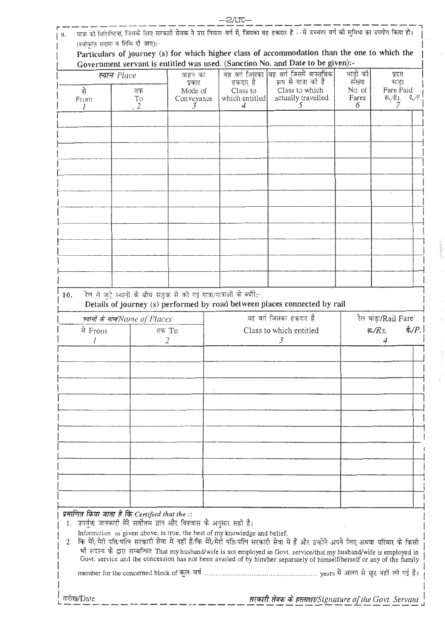|     |                                                                           |                         |                                                                       | —2/110—        |                                                                                                                                                                                                                                                  |            |                                                           |
|-----|---------------------------------------------------------------------------|-------------------------|-----------------------------------------------------------------------|----------------|--------------------------------------------------------------------------------------------------------------------------------------------------------------------------------------------------------------------------------------------------|------------|-----------------------------------------------------------|
| 19. |                                                                           |                         |                                                                       |                | यात्रा को विशिष्टियां, जिसके लिए सरकारी सेवक ने उस निवास-वर्ग से, जिसका वह हकदार है --से उच्चतर वर्ग की सुविधा का उपयोग किया हो।                                                                                                                 |            |                                                           |
|     | (स्वीकृति संख्या व तिथि दौ जाए) :-                                        |                         |                                                                       |                |                                                                                                                                                                                                                                                  |            |                                                           |
|     |                                                                           |                         |                                                                       |                | Particulars of journey (s) for which higher class of accommodation than the one to which the                                                                                                                                                     |            |                                                           |
|     |                                                                           |                         |                                                                       |                | Government servant is entitled was used. (Sanction No. and Date to be given):-<br>वह वर्ग जिसका विह वर्ग जिसमें वास्तविक                                                                                                                         | भाडों की   |                                                           |
|     | स्यान Place                                                               |                         | वाहन का<br>प्रकार                                                     | हकदार है       | रूप से यात्रा को है                                                                                                                                                                                                                              | संख्या     | प्रदत्त<br>भाडा                                           |
|     | र्म                                                                       | तक                      | Mode of                                                               | Class to       | Class to which                                                                                                                                                                                                                                   | No. of     | Fare Paid                                                 |
|     | From                                                                      | To<br>2                 | Conveyance                                                            | which entitled | actually travelled<br>5                                                                                                                                                                                                                          | Fares<br>6 | $E_*/R$ s.<br>4./P<br>7                                   |
|     |                                                                           |                         |                                                                       |                |                                                                                                                                                                                                                                                  |            |                                                           |
|     |                                                                           |                         |                                                                       |                |                                                                                                                                                                                                                                                  |            |                                                           |
|     |                                                                           |                         |                                                                       |                |                                                                                                                                                                                                                                                  |            |                                                           |
|     |                                                                           |                         |                                                                       |                |                                                                                                                                                                                                                                                  |            |                                                           |
|     |                                                                           |                         |                                                                       |                |                                                                                                                                                                                                                                                  |            |                                                           |
|     |                                                                           |                         |                                                                       |                |                                                                                                                                                                                                                                                  |            |                                                           |
|     |                                                                           |                         |                                                                       |                |                                                                                                                                                                                                                                                  |            |                                                           |
|     |                                                                           |                         |                                                                       |                |                                                                                                                                                                                                                                                  |            |                                                           |
|     |                                                                           |                         |                                                                       |                |                                                                                                                                                                                                                                                  |            |                                                           |
|     |                                                                           |                         |                                                                       |                |                                                                                                                                                                                                                                                  |            |                                                           |
|     |                                                                           |                         |                                                                       |                |                                                                                                                                                                                                                                                  |            |                                                           |
|     |                                                                           |                         |                                                                       |                |                                                                                                                                                                                                                                                  |            |                                                           |
|     |                                                                           |                         |                                                                       |                |                                                                                                                                                                                                                                                  |            |                                                           |
|     |                                                                           |                         |                                                                       |                |                                                                                                                                                                                                                                                  |            |                                                           |
|     |                                                                           |                         |                                                                       |                |                                                                                                                                                                                                                                                  |            |                                                           |
|     |                                                                           |                         |                                                                       |                |                                                                                                                                                                                                                                                  |            |                                                           |
| 10. |                                                                           |                         | रेल से जुड़े स्थानों के बीच सड़क से की गई यात्रा/यात्राओं के ब्यौरे:- |                | Details of journey (s) performed by road between places connected by rail                                                                                                                                                                        |            |                                                           |
|     |                                                                           |                         |                                                                       |                | वह वर्ग जिसका हकदार है                                                                                                                                                                                                                           |            |                                                           |
|     | त्यानों के नाम/Name of Places                                             |                         |                                                                       |                |                                                                                                                                                                                                                                                  |            | रेल भाड़ा/Rail Fare<br>$\partial Q/P.$<br>रू <i>/Rs</i> . |
|     | मे From                                                                   | तक To<br>$\overline{2}$ |                                                                       |                | Class to which entitled<br>3                                                                                                                                                                                                                     |            | 4                                                         |
|     |                                                                           |                         |                                                                       |                |                                                                                                                                                                                                                                                  |            |                                                           |
|     |                                                                           |                         |                                                                       |                |                                                                                                                                                                                                                                                  |            |                                                           |
|     |                                                                           |                         |                                                                       |                |                                                                                                                                                                                                                                                  |            |                                                           |
|     |                                                                           |                         |                                                                       |                |                                                                                                                                                                                                                                                  |            |                                                           |
|     |                                                                           |                         |                                                                       |                |                                                                                                                                                                                                                                                  |            |                                                           |
|     |                                                                           |                         |                                                                       |                |                                                                                                                                                                                                                                                  |            |                                                           |
|     |                                                                           |                         |                                                                       |                |                                                                                                                                                                                                                                                  |            |                                                           |
|     |                                                                           |                         |                                                                       |                |                                                                                                                                                                                                                                                  |            |                                                           |
|     |                                                                           |                         |                                                                       |                |                                                                                                                                                                                                                                                  |            |                                                           |
|     |                                                                           |                         |                                                                       |                |                                                                                                                                                                                                                                                  |            |                                                           |
|     |                                                                           |                         |                                                                       |                |                                                                                                                                                                                                                                                  |            |                                                           |
|     |                                                                           |                         |                                                                       |                |                                                                                                                                                                                                                                                  |            |                                                           |
|     |                                                                           |                         |                                                                       |                |                                                                                                                                                                                                                                                  |            |                                                           |
|     |                                                                           |                         |                                                                       |                |                                                                                                                                                                                                                                                  |            |                                                           |
|     | प्रमाणित किया जाता है कि Certified that the ::                            |                         |                                                                       |                |                                                                                                                                                                                                                                                  |            |                                                           |
| L.  | उपर्युक्त जानकारी मेरे सर्वोत्तम ज्ञान और विश्वास के अनुसार सही है।       |                         |                                                                       |                |                                                                                                                                                                                                                                                  |            |                                                           |
|     | Information as given above, is true, the best of my knowledge and belief. |                         |                                                                       |                |                                                                                                                                                                                                                                                  |            |                                                           |
| 2.  |                                                                           |                         |                                                                       |                | कि मेरे/मेरी पति/पति सरकारी सेवा में नहीं हैं/कि मेरे/मेरी पति/पत्नि सरकारी सेवा में हैं और उन्होंने अपने लिए अथवा परिवार के किसी                                                                                                                |            |                                                           |
|     |                                                                           |                         |                                                                       |                | भी सदस्य के द्वारा सम्बन्धित That my husband/wife is not employed in Govt. service/that my husband/wife is employed in<br>Govt. service and the concession has not been availed of by him/her separately of himself/herself or any of the family |            |                                                           |
|     |                                                                           |                         |                                                                       |                |                                                                                                                                                                                                                                                  |            |                                                           |
|     |                                                                           |                         |                                                                       |                |                                                                                                                                                                                                                                                  |            |                                                           |
|     | तारीख/Date                                                                |                         |                                                                       |                |                                                                                                                                                                                                                                                  |            |                                                           |
|     |                                                                           |                         |                                                                       |                | सरकारी सेवक के हस्ताक्षार/Signature of the Govt. Servant                                                                                                                                                                                         |            |                                                           |

L.

Ï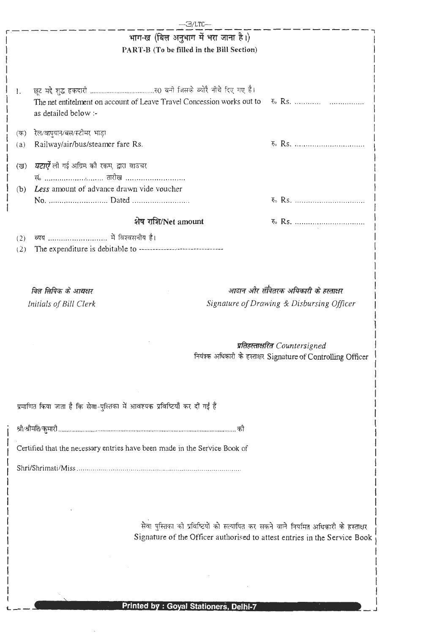|                                                                            | 3/LTC--                                                                                                                                                                                                                                                                                                                                                                  |                                                                |  |
|----------------------------------------------------------------------------|--------------------------------------------------------------------------------------------------------------------------------------------------------------------------------------------------------------------------------------------------------------------------------------------------------------------------------------------------------------------------|----------------------------------------------------------------|--|
|                                                                            | भाग-ख (बिल अनुभाग में भरा जाना है।)                                                                                                                                                                                                                                                                                                                                      |                                                                |  |
|                                                                            | PART-B (To be filled in the Bill Section)                                                                                                                                                                                                                                                                                                                                |                                                                |  |
|                                                                            |                                                                                                                                                                                                                                                                                                                                                                          |                                                                |  |
|                                                                            |                                                                                                                                                                                                                                                                                                                                                                          |                                                                |  |
| 1.                                                                         |                                                                                                                                                                                                                                                                                                                                                                          |                                                                |  |
|                                                                            | The net entitelment on account of Leave Travel Concession works out to                                                                                                                                                                                                                                                                                                   | <b>E</b> . Rs.                                                 |  |
|                                                                            | as detailed below :-                                                                                                                                                                                                                                                                                                                                                     |                                                                |  |
|                                                                            |                                                                                                                                                                                                                                                                                                                                                                          |                                                                |  |
| (ক)                                                                        | रेल/वायुयान/बस/स्टीमर भाड़ा                                                                                                                                                                                                                                                                                                                                              |                                                                |  |
| (a)                                                                        | Railway/air/bus/steamer fare Rs.                                                                                                                                                                                                                                                                                                                                         |                                                                |  |
| (ख)                                                                        | <i>घटाऐँ</i> ली गई अग्रिम की रकम, द्वारा वाउचर                                                                                                                                                                                                                                                                                                                           |                                                                |  |
|                                                                            | सं.  तारीख                                                                                                                                                                                                                                                                                                                                                               |                                                                |  |
| (b)                                                                        | Less amount of advance drawn vide voucher                                                                                                                                                                                                                                                                                                                                |                                                                |  |
|                                                                            |                                                                                                                                                                                                                                                                                                                                                                          |                                                                |  |
|                                                                            |                                                                                                                                                                                                                                                                                                                                                                          |                                                                |  |
|                                                                            | शेष राशि/Net amount                                                                                                                                                                                                                                                                                                                                                      |                                                                |  |
| (2)                                                                        |                                                                                                                                                                                                                                                                                                                                                                          |                                                                |  |
| (2)                                                                        | The expenditure is debitable to ------------------------------                                                                                                                                                                                                                                                                                                           |                                                                |  |
|                                                                            |                                                                                                                                                                                                                                                                                                                                                                          |                                                                |  |
|                                                                            |                                                                                                                                                                                                                                                                                                                                                                          |                                                                |  |
|                                                                            | बित लिपिक के आद्यक्षर                                                                                                                                                                                                                                                                                                                                                    | आदान और सँवितरक अधिकारी के हस्ताक्षर                           |  |
|                                                                            | Initials of Bill Clerk                                                                                                                                                                                                                                                                                                                                                   | Signature of Drawing & Disbursing Officer                      |  |
|                                                                            |                                                                                                                                                                                                                                                                                                                                                                          |                                                                |  |
|                                                                            |                                                                                                                                                                                                                                                                                                                                                                          |                                                                |  |
|                                                                            |                                                                                                                                                                                                                                                                                                                                                                          |                                                                |  |
|                                                                            |                                                                                                                                                                                                                                                                                                                                                                          | प्रतिहस्ताक्षरित Countersigned                                 |  |
|                                                                            |                                                                                                                                                                                                                                                                                                                                                                          | नियंत्रक अधिकारी के हस्ताक्षर Signature of Controlling Officer |  |
|                                                                            |                                                                                                                                                                                                                                                                                                                                                                          |                                                                |  |
|                                                                            |                                                                                                                                                                                                                                                                                                                                                                          |                                                                |  |
|                                                                            | प्रमाणित किया जाता है कि सेवा-पुस्तिका में आवश्यक प्रविष्टियाँ कर दीं गई हैं                                                                                                                                                                                                                                                                                             |                                                                |  |
|                                                                            |                                                                                                                                                                                                                                                                                                                                                                          |                                                                |  |
|                                                                            |                                                                                                                                                                                                                                                                                                                                                                          |                                                                |  |
|                                                                            |                                                                                                                                                                                                                                                                                                                                                                          |                                                                |  |
| Certified that the necessary entries have been made in the Service Book of |                                                                                                                                                                                                                                                                                                                                                                          |                                                                |  |
|                                                                            |                                                                                                                                                                                                                                                                                                                                                                          |                                                                |  |
|                                                                            |                                                                                                                                                                                                                                                                                                                                                                          |                                                                |  |
|                                                                            |                                                                                                                                                                                                                                                                                                                                                                          |                                                                |  |
|                                                                            |                                                                                                                                                                                                                                                                                                                                                                          |                                                                |  |
|                                                                            |                                                                                                                                                                                                                                                                                                                                                                          |                                                                |  |
|                                                                            | $\hat{\mathbf{n}}$ $\mathbf{m}$ $\mathbf{n}$ $\mathbf{n}$ $\mathbf{n}$ $\mathbf{n}$ $\mathbf{n}$ $\mathbf{n}$ $\mathbf{n}$ $\mathbf{n}$ $\mathbf{n}$ $\mathbf{n}$ $\mathbf{n}$ $\mathbf{n}$ $\mathbf{n}$ $\mathbf{n}$ $\mathbf{n}$ $\mathbf{n}$ $\mathbf{n}$ $\mathbf{n}$ $\mathbf{n}$ $\mathbf{n}$ $\mathbf{n}$ $\mathbf{n}$ $\mathbf{n}$ $\mathbf{n}$ $\mathbf{n}$ $\$ |                                                                |  |

 $\overline{\phantom{a}}$ 

 $\mathbf{\mathbf{I}}$  $\overline{\phantom{a}}$  $\overline{\phantom{a}}$  $\mathbf{I}$  $\mathbf{I}$ 

रीवा पुस्तिका को प्रविष्टियों को सत्यापित कर सकने वाले नियमित अधिकारी के हस्ताक्षर<br>| Signature of the Officer authorised to attest entries in the Service Book